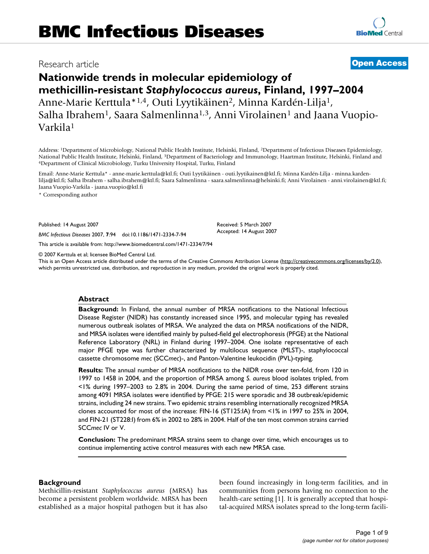## Research article **[Open Access](http://www.biomedcentral.com/info/about/charter/)**

# **Nationwide trends in molecular epidemiology of methicillin-resistant** *Staphylococcus aureus***, Finland, 1997–2004** Anne-Marie Kerttula\*<sup>1,4</sup>, Outi Lyytikäinen<sup>2</sup>, Minna Kardén-Lilja<sup>1</sup>, Salha Ibrahem<sup>1</sup>, Saara Salmenlinna<sup>1,3</sup>, Anni Virolainen<sup>1</sup> and Jaana Vuopio-Varkila1

Address: 1Department of Microbiology, National Public Health Institute, Helsinki, Finland, 2Department of Infectious Diseases Epidemiology, National Public Health Institute, Helsinki, Finland, <sup>3</sup>Department of Bacteriology and Immunology, Haartman Institute, Helsinki, Finland and 4Department of Clinical Microbiology, Turku University Hospital, Turku, Finland

Email: Anne-Marie Kerttula\* - anne-marie.kerttula@ktl.fi; Outi Lyytikäinen - outi.lyytikainen@ktl.fi; Minna Kardén-Lilja - minna.kardenlilja@ktl.fi; Salha Ibrahem - salha.ibrahem@ktl.fi; Saara Salmenlinna - saara.salmenlinna@helsinki.fi; Anni Virolainen - anni.virolainen@ktl.fi; Jaana Vuopio-Varkila - jaana.vuopio@ktl.fi

> Received: 5 March 2007 Accepted: 14 August 2007

\* Corresponding author

Published: 14 August 2007

*BMC Infectious Diseases* 2007, **7**:94 doi:10.1186/1471-2334-7-94

[This article is available from: http://www.biomedcentral.com/1471-2334/7/94](http://www.biomedcentral.com/1471-2334/7/94)

© 2007 Kerttula et al; licensee BioMed Central Ltd.

This is an Open Access article distributed under the terms of the Creative Commons Attribution License [\(http://creativecommons.org/licenses/by/2.0\)](http://creativecommons.org/licenses/by/2.0), which permits unrestricted use, distribution, and reproduction in any medium, provided the original work is properly cited.

#### **Abstract**

**Background:** In Finland, the annual number of MRSA notifications to the National Infectious Disease Register (NIDR) has constantly increased since 1995, and molecular typing has revealed numerous outbreak isolates of MRSA. We analyzed the data on MRSA notifications of the NIDR, and MRSA isolates were identified mainly by pulsed-field gel electrophoresis (PFGE) at the National Reference Laboratory (NRL) in Finland during 1997–2004. One isolate representative of each major PFGE type was further characterized by multilocus sequence (MLST)-, staphylococcal cassette chromosome *mec* (SCC*mec*)-, and Panton-Valentine leukocidin (PVL)-typing.

**Results:** The annual number of MRSA notifications to the NIDR rose over ten-fold, from 120 in 1997 to 1458 in 2004, and the proportion of MRSA among *S. aureus* blood isolates tripled, from <1% during 1997–2003 to 2.8% in 2004. During the same period of time, 253 different strains among 4091 MRSA isolates were identified by PFGE: 215 were sporadic and 38 outbreak/epidemic strains, including 24 new strains. Two epidemic strains resembling internationally recognized MRSA clones accounted for most of the increase: FIN-16 (ST125:IA) from <1% in 1997 to 25% in 2004, and FIN-21 (ST228:I) from 6% in 2002 to 28% in 2004. Half of the ten most common strains carried SCC*mec* IV or V.

**Conclusion:** The predominant MRSA strains seem to change over time, which encourages us to continue implementing active control measures with each new MRSA case.

#### **Background**

Methicillin-resistant *Staphylococcus aureus* (MRSA) has become a persistent problem worldwide. MRSA has been established as a major hospital pathogen but it has also been found increasingly in long-term facilities, and in communities from persons having no connection to the health-care setting [1]. It is generally accepted that hospital-acquired MRSA isolates spread to the long-term facili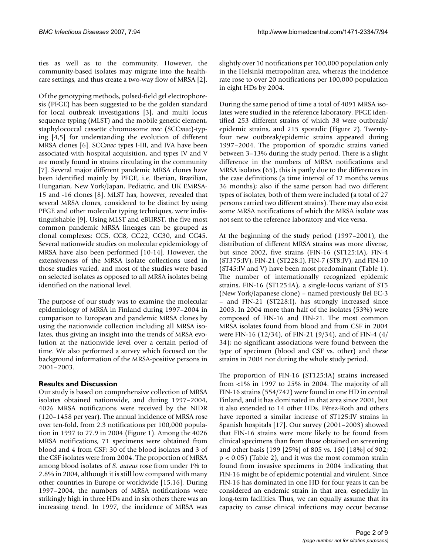ties as well as to the community. However, the community-based isolates may migrate into the healthcare settings, and thus create a two-way flow of MRSA [2].

Of the genotyping methods, pulsed-field gel electrophoresis (PFGE) has been suggested to be the golden standard for local outbreak investigations [3], and multi locus sequence typing (MLST) and the mobile genetic element, staphylococcal cassette chromosome *mec* (SCC*mec*)-typing [4,5] for understanding the evolution of different MRSA clones [6]. SCC*mec* types I-III, and IVA have been associated with hospital acquisition, and types IV and V are mostly found in strains circulating in the community [7]. Several major different pandemic MRSA clones have been identified mainly by PFGE, i.e. Iberian, Brazilian, Hungarian, New York/Japan, Pediatric, and UK EMRSA-15 and -16 clones [8]. MLST has, however, revealed that several MRSA clones, considered to be distinct by using PFGE and other molecular typing techniques, were indistinguishable [9]. Using MLST and eBURST, the five most common pandemic MRSA lineages can be grouped as clonal complexes: CC5, CC8, CC22, CC30, and CC45. Several nationwide studies on molecular epidemiology of MRSA have also been performed [10-14]. However, the extensiveness of the MRSA isolate collections used in those studies varied, and most of the studies were based on selected isolates as opposed to all MRSA isolates being identified on the national level.

The purpose of our study was to examine the molecular epidemiology of MRSA in Finland during 1997–2004 in comparison to European and pandemic MRSA clones by using the nationwide collection including all MRSA isolates, thus giving an insight into the trends of MRSA evolution at the nationwide level over a certain period of time. We also performed a survey which focused on the background information of the MRSA-positive persons in 2001–2003.

### **Results and Discussion**

Our study is based on comprehensive collection of MRSA isolates obtained nationwide, and during 1997–2004, 4026 MRSA notifications were received by the NIDR (120–1458 per year). The annual incidence of MRSA rose over ten-fold, from 2.3 notifications per 100,000 population in 1997 to 27.9 in 2004 (Figure 1). Among the 4026 MRSA notifications, 71 specimens were obtained from blood and 4 from CSF; 30 of the blood isolates and 3 of the CSF isolates were from 2004. The proportion of MRSA among blood isolates of *S. aureus* rose from under 1% to 2.8% in 2004, although it is still low compared with many other countries in Europe or worldwide [15,16]. During 1997–2004, the numbers of MRSA notifications were strikingly high in three HDs and in six others there was an increasing trend. In 1997, the incidence of MRSA was

slightly over 10 notifications per 100,000 population only in the Helsinki metropolitan area, whereas the incidence rate rose to over 20 notifications per 100,000 population in eight HDs by 2004.

During the same period of time a total of 4091 MRSA isolates were studied in the reference laboratory. PFGE identified 253 different strains of which 38 were outbreak/ epidemic strains, and 215 sporadic (Figure 2). Twentyfour new outbreak/epidemic strains appeared during 1997–2004. The proportion of sporadic strains varied between 3–13% during the study period. There is a slight difference in the numbers of MRSA notifications and MRSA isolates (65), this is partly due to the differences in the case definitions (a time interval of 12 months versus 36 months); also if the same person had two different types of isolates, both of them were included (a total of 27 persons carried two different strains). There may also exist some MRSA notifications of which the MRSA isolate was not sent to the reference laboratory and vice versa.

At the beginning of the study period (1997–2001), the distribution of different MRSA strains was more diverse, but since 2002, five strains (FIN-16 (ST125:IA), FIN-4 (ST375:IV), FIN-21 (ST228:I), FIN-7 (ST8:IV), and FIN-10 (ST45:IV and V) have been most predominant (Table 1). The number of internationally recognized epidemic strains, FIN-16 (ST125:IA), a single-locus variant of ST5 (New York/Japanese clone) – named previously Bel EC-3 – and FIN-21 (ST228:I), has strongly increased since 2003. In 2004 more than half of the isolates (53%) were composed of FIN-16 and FIN-21. The most common MRSA isolates found from blood and from CSF in 2004 were FIN-16 (12/34), of FIN-21 (9/34), and of FIN-4 (4/ 34); no significant associations were found between the type of specimen (blood and CSF vs. other) and these strains in 2004 nor during the whole study period.

The proportion of FIN-16 (ST125:IA) strains increased from <1% in 1997 to 25% in 2004. The majority of all FIN-16 strains (554/742) were found in one HD in central Finland, and it has dominated in that area since 2001, but it also extended to 14 other HDs. Pérez-Roth and others have reported a similar increase of ST125:IV strains in Spanish hospitals [17]. Our survey (2001–2003) showed that FIN-16 strains were more likely to be found from clinical specimens than from those obtained on screening and other basis (199 [25%] of 805 vs. 160 [18%] of 902;  $p < 0.05$ ) (Table 2), and it was the most common strain found from invasive specimens in 2004 indicating that FIN-16 might be of epidemic potential and virulent. Since FIN-16 has dominated in one HD for four years it can be considered an endemic strain in that area, especially in long-term facilities. Thus, we can equally assume that its capacity to cause clinical infections may occur because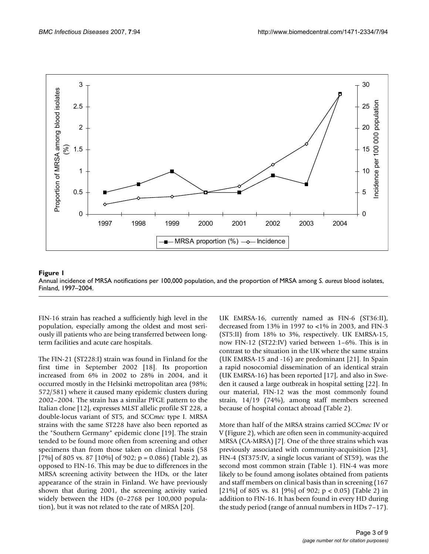

Annual incidence of MRSA notifications per 100,000 Finland, 1997–2004 **Figure 1** population, and the proportion of MRSA among *S. aureus* blood isolates, Annual incidence of MRSA notifications per 100,000 population, and the proportion of MRSA among *S. aureus* blood isolates, Finland, 1997–2004.

FIN-16 strain has reached a sufficiently high level in the population, especially among the oldest and most seriously ill patients who are being transferred between longterm facilities and acute care hospitals.

The FIN-21 (ST228:I) strain was found in Finland for the first time in September 2002 [18]. Its proportion increased from 6% in 2002 to 28% in 2004, and it occurred mostly in the Helsinki metropolitan area (98%; 572/581) where it caused many epidemic clusters during 2002–2004. The strain has a similar PFGE pattern to the Italian clone [12], expresses MLST allelic profile ST 228, a double-locus variant of ST5, and SCC*mec* type I. MRSA strains with the same ST228 have also been reported as the "Southern Germany" epidemic clone [19]. The strain tended to be found more often from screening and other specimens than from those taken on clinical basis (58 [7%] of 805 vs. 87 [10%] of 902; p = 0.086) (Table 2), as opposed to FIN-16. This may be due to differences in the MRSA screening activity between the HDs, or the later appearance of the strain in Finland. We have previously shown that during 2001, the screening activity varied widely between the HDs (0–2768 per 100,000 population), but it was not related to the rate of MRSA [20].

UK EMRSA-16, currently named as FIN-6 (ST36:II), decreased from 13% in 1997 to <1% in 2003, and FIN-3 (ST5:II) from 18% to 3%, respectively. UK EMRSA-15, now FIN-12 (ST22:IV) varied between 1–6%. This is in contrast to the situation in the UK where the same strains (UK EMRSA-15 and -16) are predominant [21]. In Spain a rapid nosocomial dissemination of an identical strain (UK EMRSA-16) has been reported [17], and also in Sweden it caused a large outbreak in hospital setting [22]. In our material, FIN-12 was the most commonly found strain, 14/19 (74%), among staff members screened because of hospital contact abroad (Table 2).

More than half of the MRSA strains carried SCC*mec* IV or V (Figure 2), which are often seen in community-acquired MRSA (CA-MRSA) [7]. One of the three strains which was previously associated with community-acquisition [23], FIN-4 (ST375:IV, a single locus variant of ST59), was the second most common strain (Table 1). FIN-4 was more likely to be found among isolates obtained from patients and staff members on clinical basis than in screening (167 [21%] of 805 vs. 81 [9%] of 902;  $p < 0.05$ ] (Table 2) in addition to FIN-16. It has been found in every HD during the study period (range of annual numbers in HDs 7–17).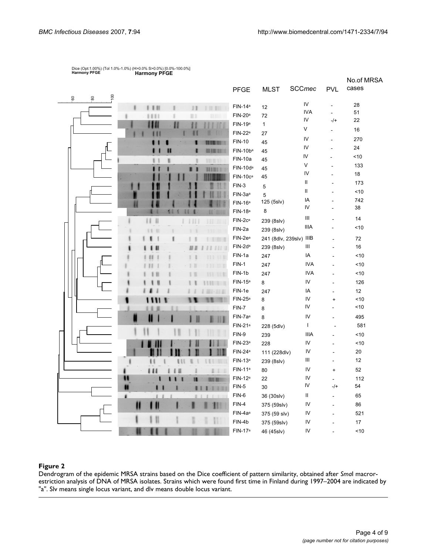|                                               |                     |                         |               |                | No.of MRSA |
|-----------------------------------------------|---------------------|-------------------------|---------------|----------------|------------|
|                                               | PFGE                | <b>MLST</b>             | SCCmec        | <b>PVL</b>     | cases      |
| 100<br>$\rm ^{80}$<br>$-60$                   | FIN-14 <sup>a</sup> | 12                      | IV            | $\blacksquare$ | 28         |
| ■Ⅰ                                            | FIN-20 <sup>a</sup> | 72                      | <b>IVA</b>    | $\Box$         | 51         |
|                                               | FIN-19 <sup>a</sup> | $\mathbf{1}$            | IV            | $-1+$          | 22         |
|                                               | $FIN-22a$           | 27                      | V             |                | 16         |
|                                               | <b>FIN-10</b>       | 45                      | IV            |                | 270        |
| 1118.88                                       | FIN-10ba            | 45                      | IV            | $\overline{a}$ | 24         |
| HET                                           | FIN-10a             | 45                      | IV            |                | ~10        |
| <b>HIBITT</b>                                 | FIN-10da            | 45                      | V             |                | 133        |
|                                               | $FIN-10ca$          | 45                      | IV            |                | 18         |
|                                               | $FIN-3$             | $\mathbf 5$             | Ш             |                | 173        |
|                                               | FIN-3a <sup>a</sup> | 5                       | $\mathsf{II}$ | L.             | < 10       |
|                                               | $FIN-16a$           | 125 (5slv)              | IA            |                | 742        |
|                                               | FIN-18 <sup>a</sup> | $\,8\,$                 | IV            |                | 38         |
| $\mathbf{H}$<br>н<br>$\mathbb{H}$<br>HI II II | FIN-2ca             | 239 (8slv)              | Ш             |                | 14         |
|                                               | FIN-2a              | 239 (8slv)              | <b>IIIA</b>   |                | <10        |
|                                               | FIN-2e <sup>a</sup> | 241 (8dlv, 239slv) IIIB |               |                | 72         |
|                                               | FIN-2da             | 239 (8slv)              | Ш             |                | 16         |
|                                               | FIN-1a              | 247                     | IA            |                | ~10        |
| H<br>HI                                       | FIN-1               | 247                     | <b>IVA</b>    |                | <10        |
|                                               | FIN-1b              | 247                     | <b>IVA</b>    |                | ~10        |
|                                               | FIN-15 <sup>a</sup> | 8                       | IV            |                | 126        |
|                                               | FIN-1e              | 247                     | IA            | $\overline{a}$ | 12         |
|                                               | $FIN-25a$           | 8                       | IV            | $\ddot{}$      | ~10        |
|                                               | FIN-7               | 8                       | IV            |                | 10         |
| Ш<br>11                                       | FIN-7a <sup>a</sup> | 8                       | IV            |                | 495        |
|                                               | $FIN-21a$           | 228 (5dlv)              | $\mathbf{I}$  |                | 581        |
|                                               | FIN-9               | 239                     | <b>IIIA</b>   |                | ~10        |
|                                               | FIN-23 <sup>a</sup> | 228                     | IV            |                | 10         |
|                                               | FIN-24 <sup>a</sup> | 111 (228dlv)            | IV            |                | $20\,$     |
| ı                                             | $FIN-13a$           | 239 (8slv)              | Ш             |                | 12         |
| $\blacksquare$                                | FIN-11 <sup>a</sup> | 80                      | IV            | $\ddot{}$      | 52         |
| 18.8.48                                       | FIN-12 <sup>a</sup> | 22                      | IV            | $\overline{a}$ | 112        |
|                                               | FIN-5               | 30                      | IV            | $-/+$          | 54         |
| ٠                                             | FIN-6               | 36 (30slv)              | Ш             |                | 65         |
| $\mathbf u$                                   | FIN-4               | 375 (59slv)             | IV            | $\overline{a}$ | 86         |
|                                               | FIN-4a <sup>a</sup> | 375 (59 slv)            | IV            |                | 521        |
|                                               | FIN-4b              | 375 (59slv)             | IV            |                | 17         |
|                                               | FIN-17 <sup>a</sup> | 46 (45slv)              | IV            |                | ~10        |

## Dice (Opt:1.00%) (Tol 1.0%-1.0%) (H>0.0% S>0.0%) [0.0%-100.0%] Harmony PFGE Harmony PFGE

#### Dendrogram of the epidemic MRSA strains based on the estriction analysis of **Figure 2** DNA of isolates Dice coefficient of pattern similarity, obtained after *Sma*I macror-

Dendrogram of the epidemic MRSA strains based on the Dice coefficient of pattern similarity, obtained after *Sma*I macrorestriction analysis of DNA of MRSA isolates. Strains which were found first time in Finland during 1997–2004 are indicated by "a". Slv means single locus variant, and dlv means double locus variant.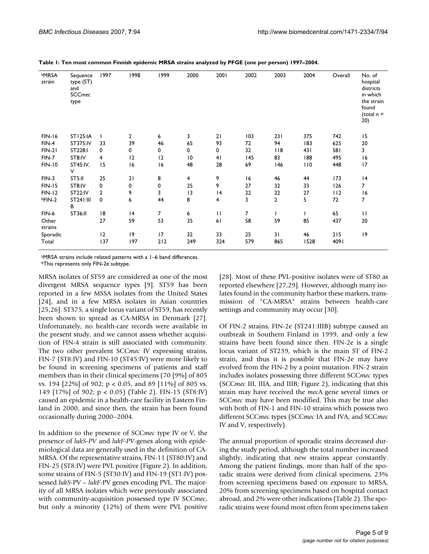| aMRSA<br>strain  | Sequence<br>type (ST)<br>and<br><b>SCCmec</b><br>type | 1997           | 1998           | 1999        | 2000            | 2001         | 2002 | 2003 | 2004 | Overall | No. of<br>hospital<br>districts<br>in which<br>the strain<br>found<br>(total $n =$<br>20) |
|------------------|-------------------------------------------------------|----------------|----------------|-------------|-----------------|--------------|------|------|------|---------|-------------------------------------------------------------------------------------------|
| <b>FIN-16</b>    | <b>ST125:IA</b>                                       |                | $\overline{2}$ | 6           | 3               | 21           | 103  | 231  | 375  | 742     | 15                                                                                        |
| $FIN-4$          | ST375:IV                                              | 33             | 39             | 46          | 65              | 93           | 72   | 94   | 183  | 625     | 20                                                                                        |
| $FIN-21$         | ST228:I                                               | 0              | 0              | $\mathbf 0$ | 0               | 0            | 32   | 118  | 43 I | 581     | 3                                                                                         |
| FIN-7            | ST8:IV                                                | 4              | 12             | 12          | $\overline{10}$ | 41           | 145  | 83   | 188  | 495     | 16                                                                                        |
| <b>FIN-10</b>    | ST45:IV,<br>v                                         | 15             | 16             | 16          | 48              | 28           | 69   | 146  | 110  | 448     | 17                                                                                        |
| $FIN-3$          | ST5:II                                                | 25             | 21             | 8           | $\overline{4}$  | 9            | 16   | 46   | 44   | 173     | 4                                                                                         |
| <b>FIN-15</b>    | ST8:IV                                                | 0              | 0              | $\mathbf 0$ | 25              | 9            | 27   | 32   | 33   | 126     | 7                                                                                         |
| <b>FIN-12</b>    | ST22:IV                                               | $\overline{2}$ | 9              | 3           | 3               | 4            | 22   | 22   | 27   | 112     | 16                                                                                        |
| bFIN-2           | ST241:III<br>в                                        | 0              | 6              | 44          | 8               | 4            | 3    | 2    | 5    | 72      | 7                                                                                         |
| FIN-6            | ST36:II                                               | 18             | 4              | 7           | 6               | $\mathbf{H}$ | 7    |      |      | 65      | $\mathbf{I}$                                                                              |
| Other<br>strains |                                                       | 27             | 59             | 53          | 35              | 61           | 58   | 59   | 85   | 437     | 20                                                                                        |
| Sporadic         |                                                       | $ 2\rangle$    | 19             | 17          | 32              | 33           | 25   | 31   | 46   | 215     | 9                                                                                         |
| Total            |                                                       | 137            | 197            | 212         | 249             | 324          | 579  | 865  | 1528 | 4091    |                                                                                           |

**Table 1: Ten most common Finnish epidemic MRSA strains analyzed by PFGE (one per person) 1997–2004.**

aMRSA strains include related patterns with a 1–6 band differences. **bThis represents only FIN-2e subtype.** 

MRSA isolates of ST59 are considered as one of the most divergent MRSA sequence types [9]. ST59 has been reported in a few MSSA isolates from the United States [24], and in a few MRSA isolates in Asian countries [25,26]. ST375, a single locus variant of ST59, has recently been shown to spread as CA-MRSA in Denmark [27]. Unfortunately, no health-care records were available in the present study, and we cannot assess whether acquisition of FIN-4 strain is still associated with community. The two other prevalent SCC*mec* IV expressing strains, FIN-7 (ST8:IV) and FIN-10 (ST45:IV) were more likely to be found in screening specimens of patients and staff members than in their clinical specimens (70 [9%] of 805 vs. 194 [22%] of 902; p < 0.05, and 89 [11%] of 805 vs. 149 [17%] of 902; p < 0.05) (Table 2). FIN-15 (ST8:IV) caused an epidemic in a health-care facility in Eastern Finland in 2000, and since then, the strain has been found occasionally during 2000–2004.

In addition to the presence of SCC*mec* type IV or V, the presence of *lukS-PV* and *lukF-PV*-genes along with epidemiological data are generally used in the definition of CA-MRSA. Of the representative strains, FIN-11 (ST80:IV) and FIN-25 (ST8:IV) were PVL positive (Figure 2). In addition, some strains of FIN-5 (ST30:IV) and FIN-19 (ST1:IV) possessed *lukS*-PV – *lukF*-PV genes encoding PVL. The majority of all MRSA isolates which were previously associated with community-acquisition possessed type IV SCC*mec*, but only a minority (12%) of them were PVL positive [28]. Most of these PVL-positive isolates were of ST80 as reported elsewhere [27,29]. However, although many isolates found in the community harbor these markers, transmission of "CA-MRSA" strains between health-care settings and community may occur [30].

Of FIN-2 strains, FIN-2e (ST241:IIIB) subtype caused an outbreak in Southern Finland in 1999, and only a few strains have been found since then. FIN-2e is a single locus variant of ST239, which is the main ST of FIN-2 strain, and thus it is possible that FIN-2e may have evolved from the FIN-2 by a point mutation. FIN-2 strain includes isolates possessing three different SCC*mec* types (SCC*mec* III, IIIA, and IIIB; Figure 2), indicating that this strain may have received the *mec*A gene several times or SCC*mec* may have been modified. This may be true also with both of FIN-1 and FIN-10 strains which possess two different SCC*mec* types (SCC*mec* IA and IVA, and SCC*mec* IV and V, respectively).

The annual proportion of sporadic strains decreased during the study period, although the total number increased slightly, indicating that new strains appear constantly. Among the patient findings, more than half of the sporadic strains were derived from clinical specimens, 23% from screening specimens based on exposure to MRSA, 20% from screening specimens based on hospital contact abroad, and 2% were other indications (Table 2). The sporadic strains were found most often from specimens taken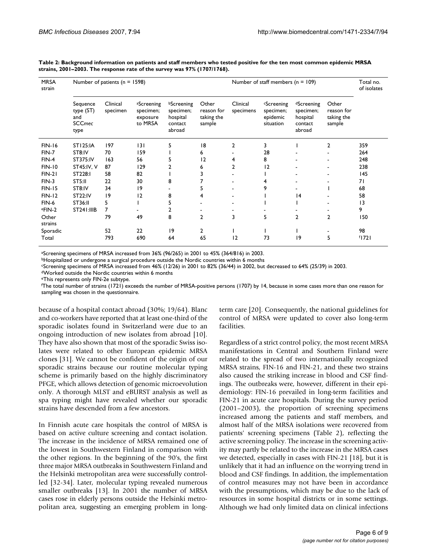| <b>MRSA</b><br>strain | Number of patients ( $n = 1598$ )                     |                      |                                                |                                                                 |                                             | Number of staff members ( $n = 109$ ) | Total no.<br>of isolates                                     |                                                          |                                             |          |
|-----------------------|-------------------------------------------------------|----------------------|------------------------------------------------|-----------------------------------------------------------------|---------------------------------------------|---------------------------------------|--------------------------------------------------------------|----------------------------------------------------------|---------------------------------------------|----------|
|                       | Sequence<br>type (ST)<br>and<br><b>SCCmec</b><br>type | Clinical<br>specimen | aScreening<br>specimen;<br>exposure<br>to MRSA | <b>bScreening</b><br>specimen;<br>hospital<br>contact<br>abroad | Other<br>reason for<br>taking the<br>sample | Clinical<br>specimens                 | <sup>c</sup> Screening<br>specimen;<br>epidemic<br>situation | dScreening<br>specimen;<br>hospital<br>contact<br>abroad | Other<br>reason for<br>taking the<br>sample |          |
| <b>FIN-16</b>         | <b>ST125:IA</b>                                       | 197                  | 3                                              | 5                                                               | 18                                          | $\overline{2}$                        | 3                                                            |                                                          | 2                                           | 359      |
| $FIN-7$               | ST8:IV                                                | 70                   | 159                                            |                                                                 | 6                                           |                                       | 28                                                           |                                                          |                                             | 264      |
| $FIN-4$               | ST375:IV                                              | 163                  | 56                                             | 5                                                               | 2                                           | 4                                     | 8                                                            |                                                          |                                             | 248      |
| <b>FIN-10</b>         | ST45:IV, V                                            | 87                   | 129                                            | 2                                                               | 6                                           | $\overline{2}$                        | 12                                                           | ۰                                                        |                                             | 238      |
| $FIN-21$              | ST228:I                                               | 58                   | 82                                             |                                                                 |                                             |                                       |                                                              | ٠                                                        |                                             | 145      |
| $FIN-3$               | ST5:II                                                | 22                   | 30                                             | 8                                                               |                                             |                                       | 4                                                            |                                                          |                                             | 71       |
| <b>FIN-15</b>         | ST8:IV                                                | 34                   | 9                                              |                                                                 | 5                                           |                                       | 9                                                            |                                                          |                                             | 68       |
| <b>FIN-12</b>         | <b>ST22:IV</b>                                        | 19                   | 12                                             | 8                                                               | 4                                           |                                       |                                                              | 4                                                        |                                             | 58       |
| FIN-6                 | ST36:II                                               | 5                    |                                                | 5                                                               |                                             |                                       |                                                              |                                                          |                                             | 3        |
| eFIN-2                | ST241:IIIB                                            | 7                    |                                                | 2                                                               |                                             |                                       |                                                              |                                                          |                                             | 9        |
| Other<br>strains      |                                                       | 79                   | 49                                             | 8                                                               | $\mathbf{2}$                                | 3                                     | 5                                                            | $\overline{2}$                                           | $\overline{2}$                              | 150      |
| Sporadic              |                                                       | 52                   | 22                                             | 19                                                              | $\overline{2}$                              |                                       |                                                              |                                                          |                                             | 98       |
| Total                 |                                                       | 793                  | 690                                            | 64                                                              | 65                                          | 12                                    | 73                                                           | 9                                                        | 5                                           | $f$ [72] |

**Table 2: Background information on patients and staff members who tested positive for the ten most common epidemic MRSA strains, 2001–2003. The response rate of the survey was 97% (1707/1768).**

aScreening specimens of MRSA increased from 36% (96/265) in 2001 to 45% (364/816) in 2003.

bHospitalized or undergone a surgical procedure outside the Nordic countries within 6 months

cScreening specimens of MRSA increased from 46% (12/26) in 2001 to 82% (36/44) in 2002, but decreased to 64% (25/39) in 2003.

dWorked outside the Nordic countries within 6 months

eThis represents only FIN-2e subtype.

f The total number of strains (1721) exceeds the number of MRSA-positive persons (1707) by 14, because in some cases more than one reason for sampling was chosen in the questionnaire.

because of a hospital contact abroad (30%; 19/64). Blanc and co-workers have reported that at least one-third of the sporadic isolates found in Switzerland were due to an ongoing introduction of new isolates from abroad [10]. They have also shown that most of the sporadic Swiss isolates were related to other European epidemic MRSA clones [31]. We cannot be confident of the origin of our sporadic strains because our routine molecular typing scheme is primarily based on the highly discriminatory PFGE, which allows detection of genomic microevolution only. A thorough MLST and eBURST analysis as well as spa typing might have revealed whether our sporadic strains have descended from a few ancestors.

In Finnish acute care hospitals the control of MRSA is based on active culture screening and contact isolation. The increase in the incidence of MRSA remained one of the lowest in Southwestern Finland in comparison with the other regions. In the beginning of the 90's, the first three major MRSA outbreaks in Southwestern Finland and the Helsinki metropolitan area were successfully controlled [32-34]. Later, molecular typing revealed numerous smaller outbreaks [13]. In 2001 the number of MRSA cases rose in elderly persons outside the Helsinki metropolitan area, suggesting an emerging problem in longterm care [20]. Consequently, the national guidelines for control of MRSA were updated to cover also long-term facilities.

Regardless of a strict control policy, the most recent MRSA manifestations in Central and Southern Finland were related to the spread of two internationally recognized MRSA strains, FIN-16 and FIN-21, and these two strains also caused the striking increase in blood and CSF findings. The outbreaks were, however, different in their epidemiology: FIN-16 prevailed in long-term facilities and FIN-21 in acute care hospitals. During the survey period (2001–2003), the proportion of screening specimens increased among the patients and staff members, and almost half of the MRSA isolations were recovered from patients' screening specimens (Table 2), reflecting the active screening policy. The increase in the screening activity may partly be related to the increase in the MRSA cases we detected, especially in cases with FIN-21 [18], but it is unlikely that it had an influence on the worrying trend in blood and CSF findings. In addition, the implementation of control measures may not have been in accordance with the presumptions, which may be due to the lack of resources in some hospital districts or in some settings. Although we had only limited data on clinical infections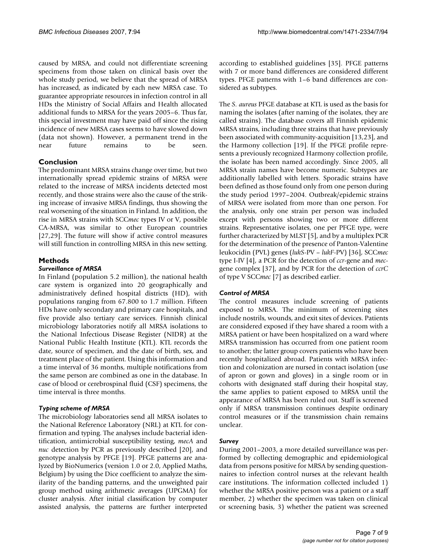caused by MRSA, and could not differentiate screening specimens from those taken on clinical basis over the whole study period, we believe that the spread of MRSA has increased, as indicated by each new MRSA case. To guarantee appropriate resources in infection control in all HDs the Ministry of Social Affairs and Health allocated additional funds to MRSA for the years 2005–6. Thus far, this special investment may have paid off since the rising incidence of new MRSA cases seems to have slowed down (data not shown). However, a permanent trend in the near future remains to be seen.

### **Conclusion**

The predominant MRSA strains change over time, but two internationally spread epidemic strains of MRSA were related to the increase of MRSA incidents detected most recently, and those strains were also the cause of the striking increase of invasive MRSA findings, thus showing the real worsening of the situation in Finland. In addition, the rise in MRSA strains with SCC*mec* types IV or V, possible CA-MRSA, was similar to other European countries [27,29]. The future will show if active control measures will still function in controlling MRSA in this new setting.

### **Methods**

#### *Surveillance of MRSA*

In Finland (population 5.2 million), the national health care system is organized into 20 geographically and administratively defined hospital districts (HD), with populations ranging from 67.800 to 1.7 million. Fifteen HDs have only secondary and primary care hospitals, and five provide also tertiary care services. Finnish clinical microbiology laboratories notify all MRSA isolations to the National Infectious Disease Register (NIDR) at the National Public Health Institute (KTL). KTL records the date, source of specimen, and the date of birth, sex, and treatment place of the patient. Using this information and a time interval of 36 months, multiple notifications from the same person are combined as one in the database. In case of blood or cerebrospinal fluid (CSF) specimens, the time interval is three months.

### *Typing scheme of MRSA*

The microbiology laboratories send all MRSA isolates to the National Reference Laboratory (NRL) at KTL for confirmation and typing. The analyses include bacterial identification, antimicrobial susceptibility testing, *mecA* and *nuc* detection by PCR as previously described [20], and genotype analysis by PFGE [19]. PFGE patterns are analyzed by BioNumerics (version 1.0 or 2.0, Applied Maths, Belgium) by using the Dice coefficient to analyze the similarity of the banding patterns, and the unweighted pair group method using arithmetic averages (UPGMA) for cluster analysis. After initial classification by computer assisted analysis, the patterns are further interpreted according to established guidelines [35]. PFGE patterns with 7 or more band differences are considered different types. PFGE patterns with 1–6 band differences are considered as subtypes.

The *S. aureus* PFGE database at KTL is used as the basis for naming the isolates (after naming of the isolates, they are called strains). The database covers all Finnish epidemic MRSA strains, including three strains that have previously been associated with community-acquisition [13,23], and the Harmony collection [19]. If the PFGE profile represents a previously recognized Harmony collection profile, the isolate has been named accordingly. Since 2005, all MRSA strain names have become numeric. Subtypes are additionally labelled with letters. Sporadic strains have been defined as those found only from one person during the study period 1997–2004. Outbreak/epidemic strains of MRSA were isolated from more than one person. For the analysis, only one strain per person was included except with persons showing two or more different strains. Representative isolates, one per PFGE type, were further characterized by MLST [5], and by a multiplex PCR for the determination of the presence of Panton-Valentine leukocidin (PVL) genes (*lukS*-PV – *lukF*-PV) [36], SCC*mec* type I-IV [4], a PCR for the detection of *ccr*-gene and *mec*gene complex [37], and by PCR for the detection of *ccrC* of type V SCC*mec* [7] as described earlier.

### *Control of MRSA*

The control measures include screening of patients exposed to MRSA. The minimum of screening sites include nostrils, wounds, and exit sites of devices. Patients are considered exposed if they have shared a room with a MRSA patient or have been hospitalized on a ward where MRSA transmission has occurred from one patient room to another; the latter group covers patients who have been recently hospitalized abroad. Patients with MRSA infection and colonization are nursed in contact isolation (use of apron or gown and gloves) in a single room or in cohorts with designated staff during their hospital stay, the same applies to patient exposed to MRSA until the appearance of MRSA has been ruled out. Staff is screened only if MRSA transmission continues despite ordinary control measures or if the transmission chain remains unclear.

### *Survey*

During 2001–2003, a more detailed surveillance was performed by collecting demographic and epidemiological data from persons positive for MRSA by sending questionnaires to infection control nurses at the relevant health care institutions. The information collected included 1) whether the MRSA positive person was a patient or a staff member, 2) whether the specimen was taken on clinical or screening basis, 3) whether the patient was screened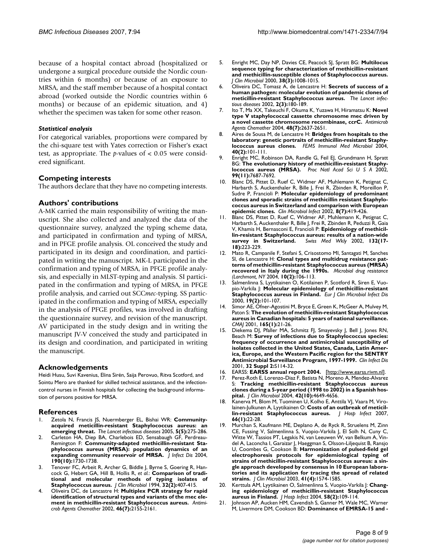because of a hospital contact abroad (hospitalized or undergone a surgical procedure outside the Nordic countries within 6 months) or because of an exposure to MRSA, and the staff member because of a hospital contact abroad (worked outside the Nordic countries within 6 months) or because of an epidemic situation, and 4) whether the specimen was taken for some other reason.

#### *Statistical analysis*

For categorical variables, proportions were compared by the chi-square test with Yates correction or Fisher's exact test, as appropriate. The *p*-values of < 0.05 were considered significant.

#### **Competing interests**

The authors declare that they have no competing interests.

#### **Authors' contributions**

A-MK carried the main responsibility of writing the manuscript. She also collected and analyzed the data of the questionnaire survey, analyzed the typing scheme data, and participated in confirmation and typing of MRSA, and in PFGE profile analysis. OL conceived the study and participated in its design and coordination, and participated in writing the manuscript. MK-L participated in the confirmation and typing of MRSA, in PFGE profile analysis, and especially in MLST-typing and analysis. SI participated in the confirmation and typing of MRSA, in PFGE profile analysis, and carried out SCC*mec*-typing. SS participated in the confirmation and typing of MRSA, especially in the analysis of PFGE profiles, was involved in drafting the questionnaire survey, and revision of the manuscript. AV participated in the study design and in writing the manuscript JV-V conceived the study and participated in its design and coordination, and participated in writing the manuscript.

#### **Acknowledgements**

Heidi Husu, Suvi Kavenius, Elina Sirén, Saija Perovuo, Ritva Scotford, and Sointu Mero are thanked for skilled technical assistance, and the infectioncontrol nurses in Finnish hospitals for collecting the background information of persons positive for MRSA.

#### **References**

- 1. Zetola N, Francis JS, Nuermberger EL, Bishai WR: **[Community](http://www.ncbi.nlm.nih.gov/entrez/query.fcgi?cmd=Retrieve&db=PubMed&dopt=Abstract&list_uids=15854883)[acquired meticillin-resistant Staphylococcus aureus: an](http://www.ncbi.nlm.nih.gov/entrez/query.fcgi?cmd=Retrieve&db=PubMed&dopt=Abstract&list_uids=15854883) [emerging threat.](http://www.ncbi.nlm.nih.gov/entrez/query.fcgi?cmd=Retrieve&db=PubMed&dopt=Abstract&list_uids=15854883)** *The Lancet infectious diseases* 2005, **5(5):**275-286.
- Carleton HA, Diep BA, Charlebois ED, Sensabaugh GF, Perdreau-Remington F: **[Community-adapted methicillin-resistant Sta](http://www.ncbi.nlm.nih.gov/entrez/query.fcgi?cmd=Retrieve&db=PubMed&dopt=Abstract&list_uids=15499526)[phylococcus aureus \(MRSA\): population dynamics of an](http://www.ncbi.nlm.nih.gov/entrez/query.fcgi?cmd=Retrieve&db=PubMed&dopt=Abstract&list_uids=15499526) [expanding community reservoir of MRSA.](http://www.ncbi.nlm.nih.gov/entrez/query.fcgi?cmd=Retrieve&db=PubMed&dopt=Abstract&list_uids=15499526)** *J Infect Dis* 2004, **190(10):**1730-1738.
- Tenover FC, Arbeit R, Archer G, Biddle J, Byrne S, Goering R, Hancock G, Hebert GA, Hill B, Hollis R, *et al.*: **[Comparison of tradi](http://www.ncbi.nlm.nih.gov/entrez/query.fcgi?cmd=Retrieve&db=PubMed&dopt=Abstract&list_uids=7908673)[tional and molecular methods of typing isolates of](http://www.ncbi.nlm.nih.gov/entrez/query.fcgi?cmd=Retrieve&db=PubMed&dopt=Abstract&list_uids=7908673) [Staphylococcus aureus.](http://www.ncbi.nlm.nih.gov/entrez/query.fcgi?cmd=Retrieve&db=PubMed&dopt=Abstract&list_uids=7908673)** *J Clin Microbiol* 1994, **32(2):**407-415.
- 4. Oliveira DC, de Lencastre H: **[Multiplex PCR strategy for rapid](http://www.ncbi.nlm.nih.gov/entrez/query.fcgi?cmd=Retrieve&db=PubMed&dopt=Abstract&list_uids=12069968) [identification of structural types and variants of the mec ele](http://www.ncbi.nlm.nih.gov/entrez/query.fcgi?cmd=Retrieve&db=PubMed&dopt=Abstract&list_uids=12069968)[ment in methicillin-resistant Staphylococcus aureus.](http://www.ncbi.nlm.nih.gov/entrez/query.fcgi?cmd=Retrieve&db=PubMed&dopt=Abstract&list_uids=12069968)** *Antimicrob Agents Chemother* 2002, **46(7):**2155-2161.
- 5. Enright MC, Day NP, Davies CE, Peacock SJ, Spratt BG: **[Multilocus](http://www.ncbi.nlm.nih.gov/entrez/query.fcgi?cmd=Retrieve&db=PubMed&dopt=Abstract&list_uids=10698988) sequence typing for characterization of methicillin-resistant [and methicillin-susceptible clones of Staphylococcus aureus.](http://www.ncbi.nlm.nih.gov/entrez/query.fcgi?cmd=Retrieve&db=PubMed&dopt=Abstract&list_uids=10698988)** *J Clin Microbiol* 2000, **38(3):**1008-1015.
- 6. Oliveira DC, Tomasz A, de Lencastre H: **[Secrets of success of a](http://www.ncbi.nlm.nih.gov/entrez/query.fcgi?cmd=Retrieve&db=PubMed&dopt=Abstract&list_uids=11944188) [human pathogen: molecular evolution of pandemic clones of](http://www.ncbi.nlm.nih.gov/entrez/query.fcgi?cmd=Retrieve&db=PubMed&dopt=Abstract&list_uids=11944188) [meticillin-resistant Staphylococcus aureus.](http://www.ncbi.nlm.nih.gov/entrez/query.fcgi?cmd=Retrieve&db=PubMed&dopt=Abstract&list_uids=11944188)** *The Lancet infectious diseases* 2002, **2(3):**180-189.
- 7. Ito T, Ma XX, Takeuchi F, Okuma K, Yuzawa H, Hiramatsu K: **[Novel](http://www.ncbi.nlm.nih.gov/entrez/query.fcgi?cmd=Retrieve&db=PubMed&dopt=Abstract&list_uids=15215121) [type V staphylococcal cassette chromosome mec driven by](http://www.ncbi.nlm.nih.gov/entrez/query.fcgi?cmd=Retrieve&db=PubMed&dopt=Abstract&list_uids=15215121) [a novel cassette chromosome recombinase, ccrC.](http://www.ncbi.nlm.nih.gov/entrez/query.fcgi?cmd=Retrieve&db=PubMed&dopt=Abstract&list_uids=15215121)** *Antimicrob Agents Chemother* 2004, **48(7):**2637-2651.
- 8. Aires de Sousa M, de Lencastre H: **[Bridges from hospitals to the](http://www.ncbi.nlm.nih.gov/entrez/query.fcgi?cmd=Retrieve&db=PubMed&dopt=Abstract&list_uids=15040388) [laboratory: genetic portraits of methicillin-resistant Staphy](http://www.ncbi.nlm.nih.gov/entrez/query.fcgi?cmd=Retrieve&db=PubMed&dopt=Abstract&list_uids=15040388)[lococcus aureus clones.](http://www.ncbi.nlm.nih.gov/entrez/query.fcgi?cmd=Retrieve&db=PubMed&dopt=Abstract&list_uids=15040388)** *FEMS Immunol Med Microbiol* 2004, **40(2):**101-111.
- 9. Enright MC, Robinson DA, Randle G, Feil EJ, Grundmann H, Spratt BG: **[The evolutionary history of methicillin-resistant Staphy](http://www.ncbi.nlm.nih.gov/entrez/query.fcgi?cmd=Retrieve&db=PubMed&dopt=Abstract&list_uids=12032344)[lococcus aureus \(MRSA\).](http://www.ncbi.nlm.nih.gov/entrez/query.fcgi?cmd=Retrieve&db=PubMed&dopt=Abstract&list_uids=12032344)** *Proc Natl Acad Sci U S A* 2002, **99(11):**7687-7692.
- 10. Blanc DS, Pittet D, Ruef C, Widmer AF, Muhlemann K, Petignat C, Harbarth S, Auckenthaler R, Bille J, Frei R, Zbinden R, Moreillon P, Sudre P, Francioli P: **[Molecular epidemiology of predominant](http://www.ncbi.nlm.nih.gov/entrez/query.fcgi?cmd=Retrieve&db=PubMed&dopt=Abstract&list_uids=12199852) clones and sporadic strains of methicillin resistant Staphylo[coccus aureus in Switzerland and comparison with European](http://www.ncbi.nlm.nih.gov/entrez/query.fcgi?cmd=Retrieve&db=PubMed&dopt=Abstract&list_uids=12199852) [epidemic clones.](http://www.ncbi.nlm.nih.gov/entrez/query.fcgi?cmd=Retrieve&db=PubMed&dopt=Abstract&list_uids=12199852)** *Clin Microbiol Infect* 2002, **8(7):**419-426.
- 11. Blanc DS, Pittet D, Ruef C, Widmer AF, Muhlemann K, Petignat C, Harbarth S, Auckenthaler R, Bille J, Frei R, Zbinden R, Peduzzi R, Gaia V, Khamis H, Bernasconi E, Francioli P: **[Epidemiology of methicil](http://www.ncbi.nlm.nih.gov/entrez/query.fcgi?cmd=Retrieve&db=PubMed&dopt=Abstract&list_uids=12087488)[lin-resistant Staphylococcus aureus: results of a nation-wide](http://www.ncbi.nlm.nih.gov/entrez/query.fcgi?cmd=Retrieve&db=PubMed&dopt=Abstract&list_uids=12087488) [survey in Switzerland.](http://www.ncbi.nlm.nih.gov/entrez/query.fcgi?cmd=Retrieve&db=PubMed&dopt=Abstract&list_uids=12087488)** *Swiss Med Wkly* 2002, **132(17- 18):**223-229.
- 12. Mato R, Campanile F, Stefani S, Crisostomo MI, Santagati M, Sanches SI, de Lencastre H: **Clonal types and multidrug resistance patterns of methicillin-resistant Staphylococcus aureus (MRSA) recovered in Italy during the 1990s.** *Microbial drug resistance (Larchmont, NY* 2004, **10(2):**106-113.
- 13. Salmenlinna S, Lyytikainen O, Kotilainen P, Scotford R, Siren E, Vuopio-Varkila J: **[Molecular epidemiology of methicillin-resistant](http://www.ncbi.nlm.nih.gov/entrez/query.fcgi?cmd=Retrieve&db=PubMed&dopt=Abstract&list_uids=10746495) [Staphylococcus aureus in Finland.](http://www.ncbi.nlm.nih.gov/entrez/query.fcgi?cmd=Retrieve&db=PubMed&dopt=Abstract&list_uids=10746495)** *Eur J Clin Microbiol Infect Dis* 2000, **19(2):**101-107.
- 14. Simor AE, Ofner-Agostini M, Bryce E, Green K, McGeer A, Mulvey M, Paton S: **[The evolution of methicillin-resistant Staphylococcus](http://www.ncbi.nlm.nih.gov/entrez/query.fcgi?cmd=Retrieve&db=PubMed&dopt=Abstract&list_uids=11468949) [aureus in Canadian hospitals: 5 years of national surveillance.](http://www.ncbi.nlm.nih.gov/entrez/query.fcgi?cmd=Retrieve&db=PubMed&dopt=Abstract&list_uids=11468949)** *CMAJ* 2001, **165(1):**21-26.
- Diekema DJ, Pfaller MA, Schmitz FJ, Smayevsky J, Bell J, Jones RN, Beach M: **[Survey of infections due to Staphylococcus species:](http://www.ncbi.nlm.nih.gov/entrez/query.fcgi?cmd=Retrieve&db=PubMed&dopt=Abstract&list_uids=11320452) frequency of occurrence and antimicrobial susceptibility of isolates collected in the United States, Canada, Latin Amer[ica, Europe, and the Western Pacific region for the SENTRY](http://www.ncbi.nlm.nih.gov/entrez/query.fcgi?cmd=Retrieve&db=PubMed&dopt=Abstract&list_uids=11320452) [Antimicrobial Surveillance Program, 1997-1999.](http://www.ncbi.nlm.nih.gov/entrez/query.fcgi?cmd=Retrieve&db=PubMed&dopt=Abstract&list_uids=11320452)** *Clin Infect Dis* 2001, **32 Suppl 2:**S114-32.
- 16. EARSS: **EARSS annual report 2004.** [[http://www.earss.rivm.nl\]](http://www.earss.rivm.nl).
- 17. Perez-Roth E, Lorenzo-Diaz F, Batista N, Moreno A, Mendez-Alvarez S: **[Tracking methicillin-resistant Staphylococcus aureus](http://www.ncbi.nlm.nih.gov/entrez/query.fcgi?cmd=Retrieve&db=PubMed&dopt=Abstract&list_uids=15472324) [clones during a 5-year period \(1998 to 2002\) in a Spanish hos](http://www.ncbi.nlm.nih.gov/entrez/query.fcgi?cmd=Retrieve&db=PubMed&dopt=Abstract&list_uids=15472324)[pital.](http://www.ncbi.nlm.nih.gov/entrez/query.fcgi?cmd=Retrieve&db=PubMed&dopt=Abstract&list_uids=15472324)** *J Clin Microbiol* 2004, **42(10):**4649-4656.
- 18. Kanerva M, Blom M, Tuominen U, Kolho E, Anttila VJ, Vaara M, Virolainen-Julkunen A, Lyytikainen O: **[Costs of an outbreak of meticil](http://www.ncbi.nlm.nih.gov/entrez/query.fcgi?cmd=Retrieve&db=PubMed&dopt=Abstract&list_uids=17433492)[lin-resistant Staphylococcus aureus.](http://www.ncbi.nlm.nih.gov/entrez/query.fcgi?cmd=Retrieve&db=PubMed&dopt=Abstract&list_uids=17433492)** *J Hosp Infect* 2007, **66(1):**22-28.
- 19. Murchan S, Kaufmann ME, Deplano A, de Ryck R, Struelens M, Zinn CE, Fussing V, Salmenlinna S, Vuopio-Varkila J, El Solh N, Cuny C, Witte W, Tassios PT, Legakis N, van Leeuwen W, van Belkum A, Vindel A, Laconcha I, Garaizar J, Haeggman S, Olsson-Liljequist B, Ransjo U, Coombes G, Cookson B: **[Harmonization of pulsed-field gel](http://www.ncbi.nlm.nih.gov/entrez/query.fcgi?cmd=Retrieve&db=PubMed&dopt=Abstract&list_uids=12682148) electrophoresis protocols for epidemiological typing of [strains of methicillin-resistant Staphylococcus aureus: a sin](http://www.ncbi.nlm.nih.gov/entrez/query.fcgi?cmd=Retrieve&db=PubMed&dopt=Abstract&list_uids=12682148)gle approach developed by consensus in 10 European laboratories and its application for tracing the spread of related [strains.](http://www.ncbi.nlm.nih.gov/entrez/query.fcgi?cmd=Retrieve&db=PubMed&dopt=Abstract&list_uids=12682148)** *J Clin Microbiol* 2003, **41(4):**1574-1585.
- 20. Kerttula AM, Lyytikainen O, Salmenlinna S, Vuopio-Varkila J: **[Chang](http://www.ncbi.nlm.nih.gov/entrez/query.fcgi?cmd=Retrieve&db=PubMed&dopt=Abstract&list_uids=15474181)[ing epidemiology of methicillin-resistant Staphylococcus](http://www.ncbi.nlm.nih.gov/entrez/query.fcgi?cmd=Retrieve&db=PubMed&dopt=Abstract&list_uids=15474181) [aureus in Finland.](http://www.ncbi.nlm.nih.gov/entrez/query.fcgi?cmd=Retrieve&db=PubMed&dopt=Abstract&list_uids=15474181)** *J Hosp Infect* 2004, **58(2):**109-114.
- 21. Johnson AP, Aucken HM, Cavendish S, Ganner M, Wale MC, Warner M, Livermore DM, Cookson BD: **[Dominance of EMRSA-15 and](http://www.ncbi.nlm.nih.gov/entrez/query.fcgi?cmd=Retrieve&db=PubMed&dopt=Abstract&list_uids=11418528) -**